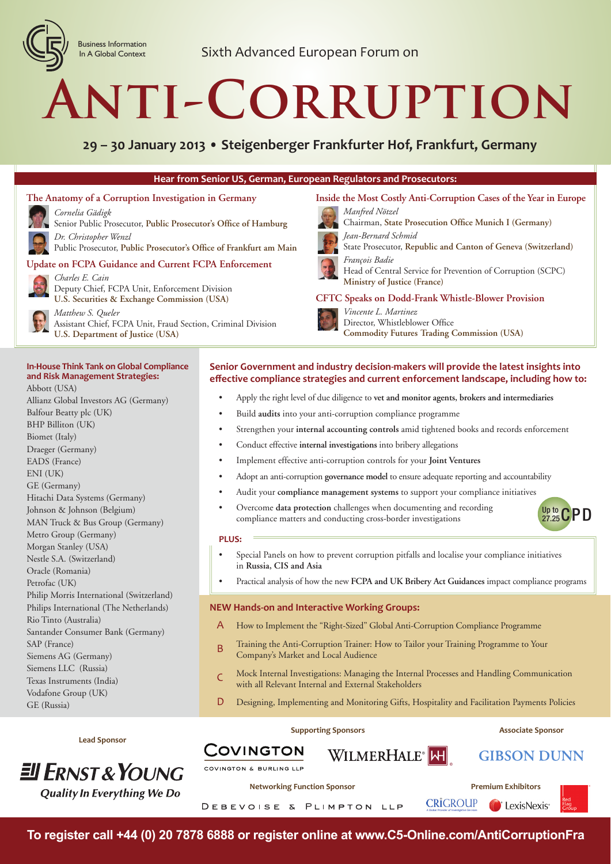

# **Anti-Corruption**

**29 – 30 January 2013 • Steigenberger Frankfurter Hof, Frankfurt, Germany**

#### **Hear from Senior US, German, European Regulators and Prosecutors:**

#### **The Anatomy of a Corruption Investigation in Germany**



*Cornelia Gädigk* Senior Public Prosecutor, Public Prosecutor's Office of Hamburg *Dr. Christopher Wenzl*

Public Prosecutor, Public Prosecutor's Office of Frankfurt am Main

#### **Update on FCPA Guidance and Current FCPA Enforcement**



*Charles E. Cain* Deputy Chief, FCPA Unit, Enforcement Division **U.S. Securities & Exchange Commission (USA)**

*Matthew S. Queler* Assistant Chief, FCPA Unit, Fraud Section, Criminal Division **U.S. Department of Justice (USA)**

#### **In-House Think Tank on Global Compliance and Risk Management Strategies:**

Abbott (USA) Allianz Global Investors AG (Germany) Balfour Beatty plc (UK) BHP Billiton (UK) Biomet (Italy) Draeger (Germany) EADS (France) ENI (UK) GE (Germany) Hitachi Data Systems (Germany) Johnson & Johnson (Belgium) MAN Truck & Bus Group (Germany) Metro Group (Germany) Morgan Stanley (USA) Nestle S.A. (Switzerland) Oracle (Romania) Petrofac (UK) Philip Morris International (Switzerland) Philips International (The Netherlands) Rio Tinto (Australia) Santander Consumer Bank (Germany) SAP (France) Siemens AG (Germany) Siemens LLC (Russia) Texas Instruments (India) Vodafone Group (UK) GE (Russia)

#### **CFTC Speaks on Dodd-Frank Whistle-Blower Provision** *Vincente L. Martinez* Director, Whistleblower Office **Commodity Futures Trading Commission (USA)**

**Inside the Most Costly Anti-Corruption Cases of the Year in Europe**

**Chairman, State Prosecution Office Munich I (Germany)** 

State Prosecutor, **Republic and Canton of Geneva (Switzerland)**

Head of Central Service for Prevention of Corruption (SCPC)

#### **Senior Government and industry decision-makers will provide the latest insights into eff ective compliance strategies and current enforcement landscape, including how to:**

• Apply the right level of due diligence to **vet and monitor agents, brokers and intermediaries**

*Manfred Nötzel*

*François Badie*

*Jean-Bernard Schmid*

**Ministry of Justice (France)**

- Build **audits** into your anti-corruption compliance programme
- Strengthen your **internal accounting controls** amid tightened books and records enforcement
- Conduct effective **internal investigations** into bribery allegations
- Implement effective anti-corruption controls for your **Joint Ventures**
- Adopt an anti-corruption **governance model** to ensure adequate reporting and accountability
- Audit your **compliance management systems** to support your compliance initiatives
- Overcome **data protection** challenges when documenting and recording compliance matters and conducting cross-border investigations

#### **PLUS:**

- Special Panels on how to prevent corruption pitfalls and localise your compliance initiatives in **Russia, CIS and Asia**
- Practical analysis of how the new **FCPA and UK Bribery Act Guidances** impact compliance programs

#### **NEW Hands-on and Interactive Working Groups:**

- A How to Implement the "Right-Sized" Global Anti-Corruption Compliance Programme
- B Training the Anti-Corruption Trainer: How to Tailor your Training Programme to Your Company's Market and Local Audience
- C Mock Internal Investigations: Managing the Internal Processes and Handling Communication with all Relevant Internal and External Stakeholders
- D Designing, Implementing and Monitoring Gifts, Hospitality and Facilitation Payments Policies

WILMERHALE<sup>®</sup>

#### **Supporting Sponsors Associate Sponsors** Associate Sponsor

**GIBSON DUNN** 

Up to CPD

**Lead Sponsor**



**Networking Function Sponsor Premium Exhibitors** 

COVINGTON

COVINGTON & BURLING LLP



**To register call +44 (0) 20 7878 6888 or register online at www.C5-Online.com/AntiCorruptionFra**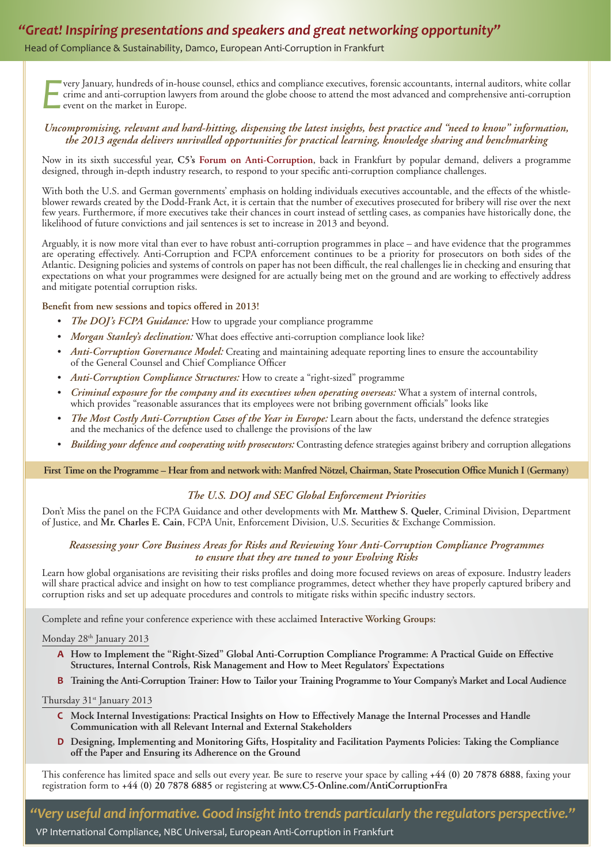### *"Great! Inspiring presentations and speakers and great networking opportunity"*

Head of Compliance & Sustainability, Damco, European Anti-Corruption in Frankfurt

*E* very January, hundreds of in-house counsel, ethics and compliance executives, forensic accountants, internal auditors, white collar crime and anti-corruption lawyers from around the globe choose to attend the most advanced and comprehensive anti-corruption event on the market in Europe.

#### *Uncompromising, relevant and hard-hitting, dispensing the latest insights, best practice and "need to know" information, the 2013 agenda delivers unrivalled opportunities for practical learning, knowledge sharing and benchmarking*

Now in its sixth successful year, **C5's Forum on Anti-Corruption**, back in Frankfurt by popular demand, delivers a programme designed, through in-depth industry research, to respond to your specific anti-corruption compliance challenges.

With both the U.S. and German governments' emphasis on holding individuals executives accountable, and the effects of the whistleblower rewards created by the Dodd-Frank Act, it is certain that the number of executives prosecuted for bribery will rise over the next few years. Furthermore, if more executives take their chances in court instead of settling cases, as companies have historically done, the likelihood of future convictions and jail sentences is set to increase in 2013 and beyond.

Arguably, it is now more vital than ever to have robust anti-corruption programmes in place – and have evidence that the programmes are operating effectively. Anti-Corruption and FCPA enforcement continues to be a priority for prosecutors on both sides of the Atlantic. Designing policies and systems of controls on paper has not been difficult, the real challenges lie in checking and ensuring that expectations on what your programmes were designed for are actually being met on the ground and are working to effectively address and mitigate potential corruption risks.

#### Benefit from new sessions and topics offered in 2013!

- *The DOJ's FCPA Guidance:* How to upgrade your compliance programme
- *Morgan Stanley's declination:* What does effective anti-corruption compliance look like?
- *Anti-Corruption Governance Model:* Creating and maintaining adequate reporting lines to ensure the accountability of the General Counsel and Chief Compliance Officer
- *Anti-Corruption Compliance Structures:* How to create a "right-sized" programme
- *Criminal exposure for the company and its executives when operating overseas:* What a system of internal controls, which provides "reasonable assurances that its employees were not bribing government officials" looks like
- *The Most Costly Anti-Corruption Cases of the Year in Europe:* Learn about the facts, understand the defence strategies and the mechanics of the defence used to challenge the provisions of the law
- *Building your defence and cooperating with prosecutors:* Contrasting defence strategies against bribery and corruption allegations

First Time on the Programme – Hear from and network with: Manfred Nötzel, Chairman, State Prosecution Office Munich I (Germany)

#### *The U.S. DOJ and SEC Global Enforcement Priorities*

Don't Miss the panel on the FCPA Guidance and other developments with **Mr. Matthew S. Queler**, Criminal Division, Department of Justice, and **Mr. Charles E. Cain**, FCPA Unit, Enforcement Division, U.S. Securities & Exchange Commission.

#### *Reassessing your Core Business Areas for Risks and Reviewing Your Anti-Corruption Compliance Programmes to ensure that they are tuned to your Evolving Risks*

Learn how global organisations are revisiting their risks profiles and doing more focused reviews on areas of exposure. Industry leaders will share practical advice and insight on how to test compliance programmes, detect whether they have properly captured bribery and corruption risks and set up adequate procedures and controls to mitigate risks within specific industry sectors.

Complete and refine your conference experience with these acclaimed Interactive Working Groups:

#### Monday 28<sup>th</sup> January 2013

- **A How to Implement the "Right-Sized" Global Anti-Corruption Compliance Programme: A Practical Guide on Effective Structures, Internal Controls, Risk Management and How to Meet Regulators' Expectations**
- **B Training the Anti-Corruption Trainer: How to Tailor your Training Programme to Your Company's Market and Local Audience**

Thursday 31<sup>st</sup> January 2013

- **C Mock Internal Investigations: Practical Insights on How to Effectively Manage the Internal Processes and Handle Communication with all Relevant Internal and External Stakeholders**
- **D Designing, Implementing and Monitoring Gifts, Hospitality and Facilitation Payments Policies: Taking the Compliance off the Paper and Ensuring its Adherence on the Ground**

This conference has limited space and sells out every year. Be sure to reserve your space by calling **+44 (0) 20 7878 6888**, faxing your registration form to **+44 (0) 20 7878 6885** or registering at **www.C5-Online.com/AntiCorruptionFra**

*"Very useful and informative. Good insight into trends particularly the regulators perspective."* VP International Compliance, NBC Universal, European Anti-Corruption in Frankfurt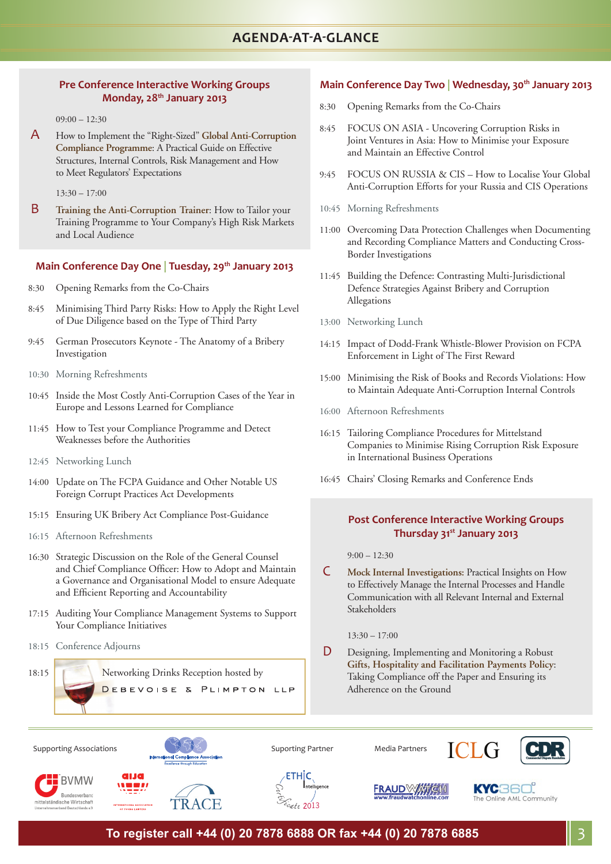#### **Pre Conference Interactive Working Groups Monday, 28th January 2013**

 $09:00 - 12:30$ 

A How to Implement the "Right-Sized" **Global Anti-Corruption Compliance Programme**: A Practical Guide on Effective Structures, Internal Controls, Risk Management and How to Meet Regulators' Expectations

 $13:30 - 17:00$ 

B **Training the Anti-Corruption Trainer**: How to Tailor your Training Programme to Your Company's High Risk Markets and Local Audience

#### **Main Conference Day One | Tuesday, 29th January 2013**

- 8:30 Opening Remarks from the Co-Chairs
- 8:45 Minimising Third Party Risks: How to Apply the Right Level of Due Diligence based on the Type of Third Party
- 9:45 German Prosecutors Keynote The Anatomy of a Bribery Investigation
- 10:30 Morning Refreshments
- 10:45 Inside the Most Costly Anti-Corruption Cases of the Year in Europe and Lessons Learned for Compliance
- 11:45 How to Test your Compliance Programme and Detect Weaknesses before the Authorities
- 12:45 Networking Lunch
- 14:00 Update on The FCPA Guidance and Other Notable US Foreign Corrupt Practices Act Developments
- 15:15 Ensuring UK Bribery Act Compliance Post-Guidance
- 16:15 Afternoon Refreshments
- 16:30 Strategic Discussion on the Role of the General Counsel and Chief Compliance Officer: How to Adopt and Maintain a Governance and Organisational Model to ensure Adequate and Efficient Reporting and Accountability
- 17:15 Auditing Your Compliance Management Systems to Support Your Compliance Initiatives
- 18:15 Conference Adjourns

18:15 Networking Drinks Reception hosted by DEBEVOISE & PLIMPTON LLP

#### Main Conference Day Two | Wednesday, 30<sup>th</sup> January 2013

- 8:30 Opening Remarks from the Co-Chairs
- 8:45 FOCUS ON ASIA Uncovering Corruption Risks in Joint Ventures in Asia: How to Minimise your Exposure and Maintain an Effective Control
- 9:45 FOCUS ON RUSSIA & CIS How to Localise Your Global Anti-Corruption Efforts for your Russia and CIS Operations
- 10:45 Morning Refreshments
- 11:00 Overcoming Data Protection Challenges when Documenting and Recording Compliance Matters and Conducting Cross-Border Investigations
- 11:45 Building the Defence: Contrasting Multi-Jurisdictional Defence Strategies Against Bribery and Corruption Allegations
- 13:00 Networking Lunch
- 14:15 Impact of Dodd-Frank Whistle-Blower Provision on FCPA Enforcement in Light of The First Reward
- 15:00 Minimising the Risk of Books and Records Violations: How to Maintain Adequate Anti-Corruption Internal Controls
- 16:00 Afternoon Refreshments
- 16:15 Tailoring Compliance Procedures for Mittelstand Companies to Minimise Rising Corruption Risk Exposure in International Business Operations
- 16:45 Chairs' Closing Remarks and Conference Ends

#### **Post Conference Interactive Working Groups Thursday 31st January 2013**

 $9:00 - 12:30$ 

 C **Mock Internal Investigations:** Practical Insights on How to Effectively Manage the Internal Processes and Handle Communication with all Relevant Internal and External Stakeholders

 $13:30 - 17:00$ 

 D Designing, Implementing and Monitoring a Robust **Gifts, Hospitality and Facilitation Payments Policy**: Taking Compliance off the Paper and Ensuring its Adherence on the Ground



**To register call +44 (0) 20 7878 6888 OR fax +44 (0) 20 7878 6885** 3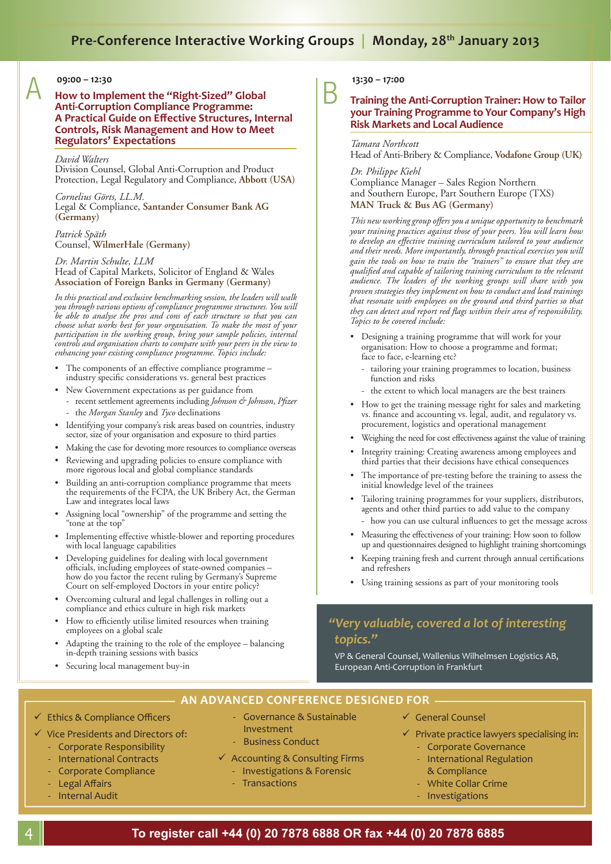## Pre-Conference Interactive Working Groups | Monday, 28<sup>th</sup> January 2013

**09:00 – 12:30** A **How to Implement the "Right-Sized" Global Anti-Corruption Compliance Programme: A Practical Guide on Eff ective Structures, Internal Controls, Risk Management and How to Meet Regulators' Expectations**

#### *David Walters*

Division Counsel, Global Anti-Corruption and Product Protection, Legal Regulatory and Compliance, **Abbott (USA)**

*Cornelius Görts, LL.M.* Legal & Compliance, **Santander Consumer Bank AG (Germany)**

*Patrick Späth* Counsel, **WilmerHale (Germany)**

#### *Dr. Martin Schulte, LLM* Head of Capital Markets, Solicitor of England & Wales **Association of Foreign Banks in Germany (Germany)**

*In this practical and exclusive benchmarking session, the leaders will walk you through various options of compliance programme structures. You will be able to analyse the pros and cons of each structure so that you can choose what works best for your organisation. To make the most of your participation in the working group, bring your sample policies, internal controls and organisation charts to compare with your peers in the view to enhancing your existing compliance programme. Topics include:*

- The components of an effective compliance programme industry specific considerations vs. general best practices
- New Government expectations as per guidance from
- recent settlement agreements including *Johnson & Johnson*, *Pfizer* - the *Morgan Stanley* and *Tyco* declinations
- Identifying your company's risk areas based on countries, industry sector, size of your organisation and exposure to third parties
- Making the case for devoting more resources to compliance overseas
- Reviewing and upgrading policies to ensure compliance with more rigorous local and global compliance standards
- Building an anti-corruption compliance programme that meets the requirements of the FCPA, the UK Bribery Act, the German Law and integrates local laws
- Assigning local "ownership" of the programme and setting the "tone at the top"
- Implementing effective whistle-blower and reporting procedures with local language capabilities
- Developing guidelines for dealing with local government officials, including employees of state-owned companies how do you factor the recent ruling by Germany's Supreme Court on self-employed Doctors in your entire policy?
- Overcoming cultural and legal challenges in rolling out a compliance and ethics culture in high risk markets
- How to efficiently utilise limited resources when training employees on a global scale
- Adapting the training to the role of the employee balancing in-depth training sessions with basics
- Securing local management buy-in

# **13:30 – 17:00** B **Training the Anti-Corruption Trainer: How to Tailor your Training Programme to Your Company's High Risk Markets and Local Audience**

*Tamara Northcott* Head of Anti-Bribery & Compliance, **Vodafone Group (UK)**

#### *Dr. Philippe Kiehl*

Compliance Manager – Sales Region Northern and Southern Europe, Part Southern Europe (TXS) **MAN Truck & Bus AG (Germany)**

*This new working group offers you a unique opportunity to benchmark your training practices against those of your peers. You will learn how to develop an effective training curriculum tailored to your audience and their needs. More importantly, through practical exercises you will gain the tools on how to train the "trainers" to ensure that they are qualifi ed and capable of tailoring training curriculum to the relevant audience. The leaders of the working groups will share with you proven strategies they implement on how to conduct and lead trainings that resonate with employees on the ground and third parties so that*  they can detect and report red flags within their area of responsibility. *Topics to be covered include:*

- Designing a training programme that will work for your organisation: How to choose a programme and format; face to face, e-learning etc?
	- tailoring your training programmes to location, business function and risks
	- the extent to which local managers are the best trainers
- How to get the training message right for sales and marketing vs. finance and accounting vs. legal, audit, and regulatory vs. procurement, logistics and operational management
- Weighing the need for cost effectiveness against the value of training
- Integrity training: Creating awareness among employees and third parties that their decisions have ethical consequences
- The importance of pre-testing before the training to assess the initial knowledge level of the trainees
- Tailoring training programmes for your suppliers, distributors, agents and other third parties to add value to the company - how you can use cultural influences to get the message across
- Measuring the effectiveness of your training: How soon to follow up and questionnaires designed to highlight training shortcomings
- Keeping training fresh and current through annual certifications and refreshers
- Using training sessions as part of your monitoring tools

### *"Very valuable, covered a lot of interesting topics."*

VP & General Counsel, Wallenius Wilhelmsen Logistics AB, European Anti-Corruption in Frankfurt

### **AN ADVANCED CONFERENCE DESIGNED FOR**

- Governance & Sustainable

- $\checkmark$  Ethics & Compliance Officers
- $\checkmark$  Vice Presidents and Directors of:
	- Corporate Responsibility - International Contracts
	- Corporate Compliance
	- Legal Affairs
	- Internal Audit

- Business Conduct  $\checkmark$  Accounting & Consulting Firms - Investigations & Forensic

Investment

- Transactions

- $\checkmark$  General Counsel
- $\checkmark$  Private practice lawyers specialising in:
	- Corporate Governance
	- International Regulation & Compliance
	- White Collar Crime
	- Investigations
- **To register call +44 (0) 20 7878 6888 OR fax +44 (0) 20 7878 6885**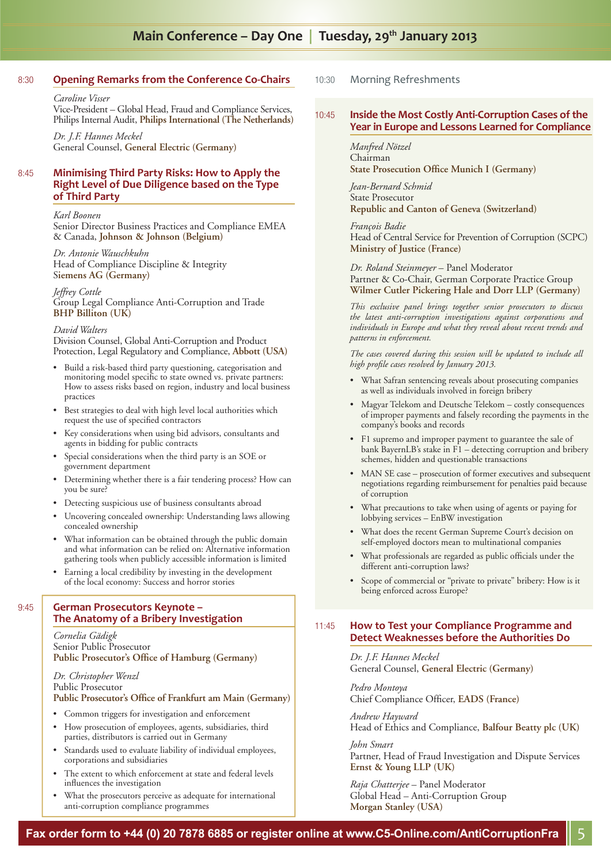### Main Conference – Day One | Tuesday, 29<sup>th</sup> January 2013

#### 8:30 **Opening Remarks from the Conference Co-Chairs**

*Caroline Visser*

Vice-President – Global Head, Fraud and Compliance Services, Philips Internal Audit, **Philips International (The Netherlands)**

*Dr. J.F. Hannes Meckel* General Counsel, **General Electric (Germany)**

#### 8:45 **Minimising Third Party Risks: How to Apply the Right Level of Due Diligence based on the Type of Third Party**

*Karl Boonen*

Senior Director Business Practices and Compliance EMEA & Canada, **Johnson & Johnson (Belgium)** 

*Dr. Antonie Wauschkuhn* Head of Compliance Discipline & Integrity S**iemens AG (Germany)**

*Jeffrey Cottle* Group Legal Compliance Anti-Corruption and Trade **BHP Billiton (UK)**

#### *David Walters*

Division Counsel, Global Anti-Corruption and Product Protection, Legal Regulatory and Compliance, **Abbott (USA)**

- Build a risk-based third party questioning, categorisation and monitoring model specific to state owned vs. private partners: How to assess risks based on region, industry and local business practices
- Best strategies to deal with high level local authorities which request the use of specified contractors
- Key considerations when using bid advisors, consultants and agents in bidding for public contracts
- Special considerations when the third party is an SOE or government department
- Determining whether there is a fair tendering process? How can you be sure?
- Detecting suspicious use of business consultants abroad
- Uncovering concealed ownership: Understanding laws allowing concealed ownership
- What information can be obtained through the public domain and what information can be relied on: Alternative information gathering tools when publicly accessible information is limited
- Earning a local credibility by investing in the development of the local economy: Success and horror stories

#### 9:45 **German Prosecutors Keynote – The Anatomy of a Bribery Investigation**

*Cornelia Gädigk* Senior Public Prosecutor Public Prosecutor's Office of Hamburg (Germany)

#### *Dr. Christopher Wenzl* Public Prosecutor Public Prosecutor's Office of Frankfurt am Main (Germany)

- Common triggers for investigation and enforcement
- How prosecution of employees, agents, subsidiaries, third parties, distributors is carried out in Germany
- Standards used to evaluate liability of individual employees, corporations and subsidiaries
- The extent to which enforcement at state and federal levels influences the investigation
- What the prosecutors perceive as adequate for international anti-corruption compliance programmes

#### 10:30 Morning Refreshments

#### 10:45 **Inside the Most Costly Anti-Corruption Cases of the Year in Europe and Lessons Learned for Compliance**

#### *Manfred Nötzel* Chairman **State Prosecution Office Munich I (Germany)**

*Jean-Bernard Schmid* State Prosecutor **Republic and Canton of Geneva (Switzerland)**

*François Badie* Head of Central Service for Prevention of Corruption (SCPC) **Ministry of Justice (France)**

*Dr. Roland Steinmeyer* – Panel Moderator Partner & Co-Chair, German Corporate Practice Group **Wilmer Cutler Pickering Hale and Dorr LLP (Germany)**

*This exclusive panel brings together senior prosecutors to discuss the latest anti-corruption investigations against corporations and individuals in Europe and what they reveal about recent trends and patterns in enforcement.*

*The cases covered during this session will be updated to include all high profi le cases resolved by January 2013.* 

- What Safran sentencing reveals about prosecuting companies as well as individuals involved in foreign bribery
- Magyar Telekom and Deutsche Telekom costly consequences of improper payments and falsely recording the payments in the company's books and records
- F1 supremo and improper payment to guarantee the sale of bank BayernLB's stake in F1 – detecting corruption and bribery schemes, hidden and questionable transactions
- MAN SE case prosecution of former executives and subsequent negotiations regarding reimbursement for penalties paid because of corruption
- What precautions to take when using of agents or paying for lobbying services – EnBW investigation
- What does the recent German Supreme Court's decision on self-employed doctors mean to multinational companies
- What professionals are regarded as public officials under the different anti-corruption laws?
- Scope of commercial or "private to private" bribery: How is it being enforced across Europe?

#### 11:45 **How to Test your Compliance Programme and Detect Weaknesses before the Authorities Do**

*Dr. J.F. Hannes Meckel* General Counsel, **General Electric (Germany)**

*Pedro Montoya*  Chief Compliance Officer, **EADS** (France)

*Andrew Hayward* Head of Ethics and Compliance, **Balfour Beatty plc (UK)**

*John Smart* Partner, Head of Fraud Investigation and Dispute Services **Ernst & Young LLP (UK)** 

*Raja Chatterjee* – Panel Moderator Global Head – Anti-Corruption Group **Morgan Stanley (USA)**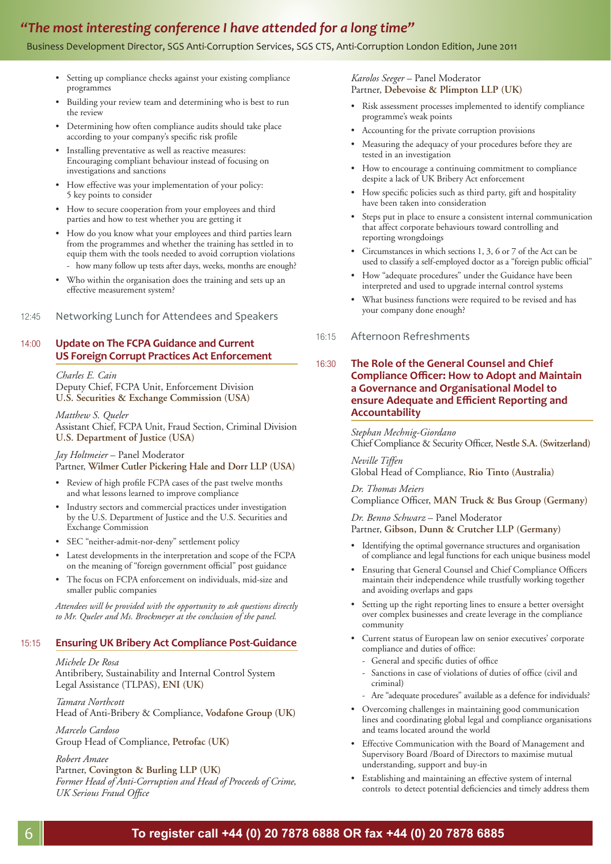### *"The most interesting conference I have attended for a long time"*

#### Business Development Director, SGS Anti-Corruption Services, SGS CTS, Anti-Corruption London Edition, June 2011

- Setting up compliance checks against your existing compliance programmes
- Building your review team and determining who is best to run the review
- Determining how often compliance audits should take place according to your company's specific risk profile
- Installing preventative as well as reactive measures: Encouraging compliant behaviour instead of focusing on investigations and sanctions
- How effective was your implementation of your policy: 5 key points to consider
- How to secure cooperation from your employees and third parties and how to test whether you are getting it
- How do you know what your employees and third parties learn from the programmes and whether the training has settled in to equip them with the tools needed to avoid corruption violations - how many follow up tests after days, weeks, months are enough?
- Who within the organisation does the training and sets up an effective measurement system?
- 12:45 Networking Lunch for Attendees and Speakers

#### 14:00 **Update on The FCPA Guidance and Current US Foreign Corrupt Practices Act Enforcement**

*Charles E. Cain* Deputy Chief, FCPA Unit, Enforcement Division **U.S. Securities & Exchange Commission (USA)**

*Matthew S. Queler* Assistant Chief, FCPA Unit, Fraud Section, Criminal Division **U.S. Department of Justice (USA)**

*Jay Holtmeier* – Panel Moderator Partner, **Wilmer Cutler Pickering Hale and Dorr LLP (USA)**

- Review of high profile FCPA cases of the past twelve months and what lessons learned to improve compliance
- Industry sectors and commercial practices under investigation by the U.S. Department of Justice and the U.S. Securities and Exchange Commission
- SEC "neither-admit-nor-deny" settlement policy
- Latest developments in the interpretation and scope of the FCPA on the meaning of "foreign government official" post guidance
- The focus on FCPA enforcement on individuals, mid-size and smaller public companies

*Attendees will be provided with the opportunity to ask questions directly to Mr. Queler and Ms. Brockmeyer at the conclusion of the panel.* 

#### 15:15 **Ensuring UK Bribery Act Compliance Post-Guidance**

*Michele De Rosa*

Antibribery, Sustainability and Internal Control System Legal Assistance (TLPAS), **ENI (UK)**

*Tamara Northcott* Head of Anti-Bribery & Compliance, **Vodafone Group (UK)**

*Marcelo Cardoso* Group Head of Compliance, **Petrofac (UK)** 

*Robert Amaee*

#### Partner, **Covington & Burling LLP (UK)**

*Former Head of Anti-Corruption and Head of Proceeds of Crime, UK Serious Fraud Office* 

#### *Karolos Seeger* – Panel Moderator Partner, **Debevoise & Plimpton LLP (UK)**

- Risk assessment processes implemented to identify compliance programme's weak points
- Accounting for the private corruption provisions
- Measuring the adequacy of your procedures before they are tested in an investigation
- How to encourage a continuing commitment to compliance despite a lack of UK Bribery Act enforcement
- How specific policies such as third party, gift and hospitality have been taken into consideration
- Steps put in place to ensure a consistent internal communication that affect corporate behaviours toward controlling and reporting wrongdoings
- Circumstances in which sections 1, 3, 6 or 7 of the Act can be used to classify a self-employed doctor as a "foreign public official"
- How "adequate procedures" under the Guidance have been interpreted and used to upgrade internal control systems
- What business functions were required to be revised and has your company done enough?

#### 16:15 Afternoon Refreshments

#### 16:30 **The Role of the General Counsel and Chief Compliance Offi cer: How to Adopt and Maintain a Governance and Organisational Model to ensure Adequate and Effi cient Reporting and Accountability**

*Stephan Mechnig-Giordano* Chief Compliance & Security Officer, Nestle S.A. (Switzerland)

*Neville Tiffen* Global Head of Compliance, **Rio Tinto (Australia)**

*Dr. Thomas Meiers* Compliance Officer, MAN Truck & Bus Group (Germany)

#### *Dr. Benno Schwarz* – Panel Moderator Partner, **Gibson, Dunn & Crutcher LLP (Germany)**

- Identifying the optimal governance structures and organisation of compliance and legal functions for each unique business model
- Ensuring that General Counsel and Chief Compliance Officers maintain their independence while trustfully working together and avoiding overlaps and gaps
- Setting up the right reporting lines to ensure a better oversight over complex businesses and create leverage in the compliance community
- Current status of European law on senior executives' corporate compliance and duties of office:
	- General and specific duties of office
	- Sanctions in case of violations of duties of office (civil and criminal)
	- Are "adequate procedures" available as a defence for individuals?
- Overcoming challenges in maintaining good communication lines and coordinating global legal and compliance organisations and teams located around the world
- Effective Communication with the Board of Management and Supervisory Board /Board of Directors to maximise mutual understanding, support and buy-in
- Establishing and maintaining an effective system of internal controls to detect potential deficiencies and timely address them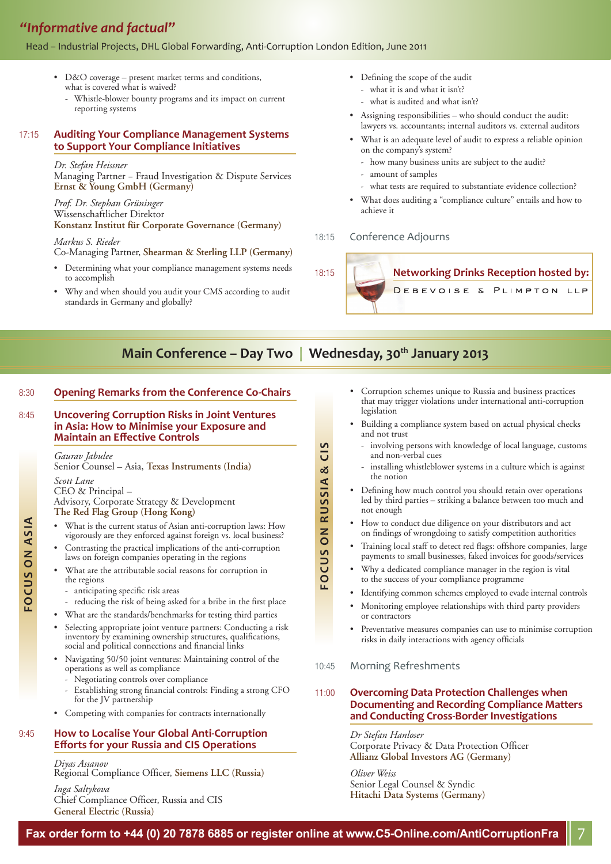## *"Informative and factual"*

#### Head – Industrial Projects, DHL Global Forwarding, Anti-Corruption London Edition, June 2011

- D&O coverage present market terms and conditions, what is covered what is waived?
	- Whistle-blower bounty programs and its impact on current reporting systems

#### 17:15 **Auditing Your Compliance Management Systems to Support Your Compliance Initiatives**

#### *Dr. Stefan Heissner*

Managing Partner − Fraud Investigation & Dispute Services **Ernst & Young GmbH (Germany)** 

*Prof. Dr. Stephan Grüninger*  Wissenschaftlicher Direktor **Konstanz Institut für Corporate Governance (Germany)**

*Markus S. Rieder*  Co-Managing Partner, **Shearman & Sterling LLP (Germany)** 

- Determining what your compliance management systems needs to accomplish
- Why and when should you audit your CMS according to audit standards in Germany and globally?
- Defining the scope of the audit
	- what it is and what it isn't?
	- what is audited and what isn't?
- Assigning responsibilities who should conduct the audit: lawyers vs. accountants; internal auditors vs. external auditors
- What is an adequate level of audit to express a reliable opinion on the company's system?
- how many business units are subject to the audit?
- amount of samples
- what tests are required to substantiate evidence collection?
- What does auditing a "compliance culture" entails and how to achieve it

#### 18:15 Conference Adjourns



## Main Conference – Day Two | Wednesday, 30<sup>th</sup> January 2013

**FOCUS ON RUSSIA & CIS**

**CUS ON RUSSIA &** 

CIS

#### 8:30 **Opening Remarks from the Conference Co-Chairs**

#### 8:45 **Uncovering Corruption Risks in Joint Ventures in Asia: How to Minimise your Exposure and Maintain an Eff ective Controls**

#### *Gaurav Jabulee*  Senior Counsel – Asia, **Texas Instruments (India)**

#### *Scott Lane*

CEO & Principal – Advisory, Corporate Strategy & Development

**The Red Flag Group (Hong Kong)**

- What is the current status of Asian anti-corruption laws: How vigorously are they enforced against foreign vs. local business?
- Contrasting the practical implications of the anti-corruption laws on foreign companies operating in the regions
- What are the attributable social reasons for corruption in the regions
	- anticipating specific risk areas
	- reducing the risk of being asked for a bribe in the first place
- What are the standards/benchmarks for testing third parties
- Selecting appropriate joint venture partners: Conducting a risk inventory by examining ownership structures, qualifications, social and political connections and financial links
- Navigating 50/50 joint ventures: Maintaining control of the operations as well as compliance
	- Negotiating controls over compliance
	- Establishing strong financial controls: Finding a strong CFO for the JV partnership
- Competing with companies for contracts internationally

#### 9:45 **How to Localise Your Global Anti-Corruption Eff orts for your Russia and CIS Operations**

*Diyas Assanov* Regional Compliance Officer, Siemens LLC (Russia)

*Inga Saltykova* Chief Compliance Officer, Russia and CIS **General Electric (Russia)**

- Corruption schemes unique to Russia and business practices that may trigger violations under international anti-corruption legislation
- Building a compliance system based on actual physical checks and not trust
	- involving persons with knowledge of local language, customs and non-verbal cues
	- installing whistleblower systems in a culture which is against the notion
- Defining how much control you should retain over operations led by third parties – striking a balance between too much and not enough
- How to conduct due diligence on your distributors and act on findings of wrongdoing to satisfy competition authorities
- Training local staff to detect red flags: offshore companies, large payments to small businesses, faked invoices for goods/services
- Why a dedicated compliance manager in the region is vital to the success of your compliance programme
- Identifying common schemes employed to evade internal controls
- Monitoring employee relationships with third party providers or contractors
- Preventative measures companies can use to minimise corruption risks in daily interactions with agency officials
- 10:45 Morning Refreshments

#### 11:00 **Overcoming Data Protection Challenges when Documenting and Recording Compliance Matters and Conducting Cross-Border Investigations**

*Dr Stefan Hanloser* Corporate Privacy & Data Protection Officer **Allianz Global Investors AG (Germany)**

*Oliver Weiss* Senior Legal Counsel & Syndic **Hitachi Data Systems (Germany)**

FOCUS ON ASIA **FOCUS ON ASIA**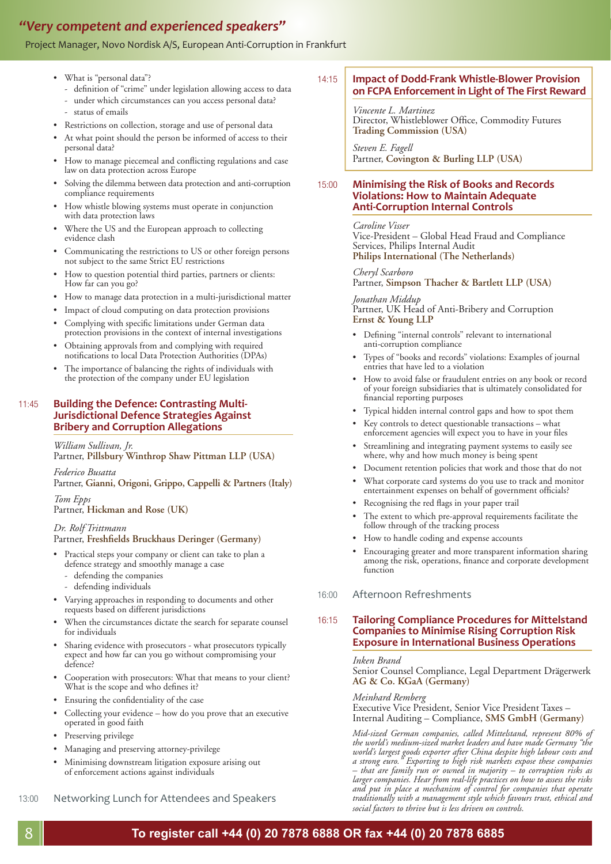### *"Very competent and experienced speakers"*

#### Project Manager, Novo Nordisk A/S, European Anti-Corruption in Frankfurt

- What is "personal data"?
	- definition of "crime" under legislation allowing access to data
	- under which circumstances can you access personal data?
	- status of emails
- Restrictions on collection, storage and use of personal data
- At what point should the person be informed of access to their personal data?
- How to manage piecemeal and conflicting regulations and case law on data protection across Europe
- Solving the dilemma between data protection and anti-corruption compliance requirements
- How whistle blowing systems must operate in conjunction with data protection laws
- Where the US and the European approach to collecting evidence clash
- Communicating the restrictions to US or other foreign persons not subject to the same Strict EU restrictions
- How to question potential third parties, partners or clients: How far can you go?
- How to manage data protection in a multi-jurisdictional matter
- Impact of cloud computing on data protection provisions
- Complying with specific limitations under German data protection provisions in the context of internal investigations
- Obtaining approvals from and complying with required notifications to local Data Protection Authorities (DPAs)
- The importance of balancing the rights of individuals with the protection of the company under EU legislation

#### 11:45 **Building the Defence: Contrasting Multi-Jurisdictional Defence Strategies Against Bribery and Corruption Allegations**

*William Sullivan, Jr.*  Partner, **Pillsbury Winthrop Shaw Pittman LLP (USA)**

*Federico Busatta* Partner, **Gianni, Origoni, Grippo, Cappelli & Partners (Italy)**

*Tom Epps* Partner, **Hickman and Rose (UK)**

#### *Dr. Rolf Trittmann* Partner, Freshfields Bruckhaus Deringer (Germany)

- Practical steps your company or client can take to plan a defence strategy and smoothly manage a case
	- defending the companies
	- defending individuals
- Varying approaches in responding to documents and other requests based on different jurisdictions
- When the circumstances dictate the search for separate counsel for individuals
- Sharing evidence with prosecutors what prosecutors typically expect and how far can you go without compromising your defence?
- Cooperation with prosecutors: What that means to your client? What is the scope and who defines it?
- Ensuring the confidentiality of the case
- Collecting your evidence how do you prove that an executive operated in good faith
- Preserving privilege
- Managing and preserving attorney-privilege
- Minimising downstream litigation exposure arising out of enforcement actions against individuals

13:00 Networking Lunch for Attendees and Speakers

### 14:15 **Impact of Dodd-Frank Whistle-Blower Provision on FCPA Enforcement in Light of The First Reward**

*Vincente L. Martinez* Director, Whistleblower Office, Commodity Futures **Trading Commission (USA)**

*Steven E. Fagell*  Partner, **Covington & Burling LLP (USA)**

#### 15:00 **Minimising the Risk of Books and Records Violations: How to Maintain Adequate Anti-Corruption Internal Controls**

*Caroline Visser* Vice-President – Global Head Fraud and Compliance Services, Philips Internal Audit **Philips International (The Netherlands)**

*Cheryl Scarboro* Partner, **Simpson Thacher & Bartlett LLP (USA)**

*Jonathan Middup* Partner, UK Head of Anti-Bribery and Corruption **Ernst & Young LLP**

- Defining "internal controls" relevant to international anti-corruption compliance
- Types of "books and records" violations: Examples of journal entries that have led to a violation
- How to avoid false or fraudulent entries on any book or record of your foreign subsidiaries that is ultimately consolidated for financial reporting purposes
- Typical hidden internal control gaps and how to spot them
- Key controls to detect questionable transactions what enforcement agencies will expect you to have in your files
- Streamlining and integrating payment systems to easily see where, why and how much money is being spent
- Document retention policies that work and those that do not
- What corporate card systems do you use to track and monitor entertainment expenses on behalf of government officials?
- Recognising the red flags in your paper trail
- The extent to which pre-approval requirements facilitate the follow through of the tracking process
- How to handle coding and expense accounts
- Encouraging greater and more transparent information sharing among the risk, operations, finance and corporate development function
- 16:00 Afternoon Refreshments

#### 16:15 **Tailoring Compliance Procedures for Mittelstand Companies to Minimise Rising Corruption Risk Exposure in International Business Operations**

#### *Inken Brand*

Senior Counsel Compliance, Legal Department Drägerwerk **AG & Co. KGaA (Germany)**

#### *Meinhard Remberg*

Executive Vice President, Senior Vice President Taxes – Internal Auditing – Compliance, **SMS GmbH (Germany)**

*Mid-sized German companies, called Mittelstand, represent 80% of the world's medium-sized market leaders and have made Germany "the world's largest goods exporter after China despite high labour costs and a strong euro." Exporting to high risk markets expose these companies – that are family run or owned in majority – to corruption risks as larger companies. Hear from real-life practices on how to assess the risks and put in place a mechanism of control for companies that operate traditionally with a management style which favours trust, ethical and social factors to thrive but is less driven on controls.* 

# **To register call +44 (0) 20 7878 6888 OR fax +44 (0) 20 7878 6885** 8 **To register call +44 (0) 20 7878 6888 OR fax +44 (0) 20 7878 6885**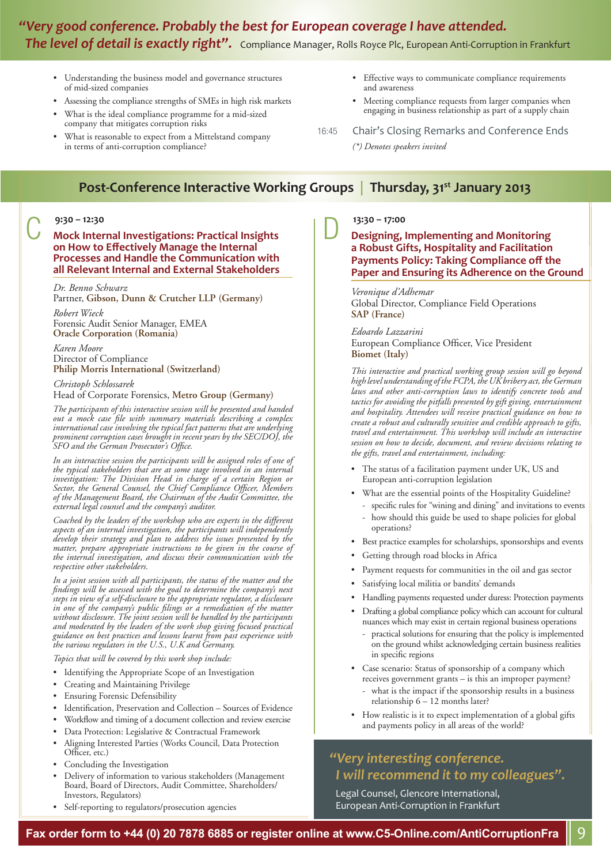# *"Very good conference. Probably the best for European coverage I have attended. The level of detail is exactly right".* Compliance Manager, Rolls Royce Plc, European Anti-Corruption in Frankfurt

- Understanding the business model and governance structures of mid-sized companies
- Assessing the compliance strengths of SMEs in high risk markets
- What is the ideal compliance programme for a mid-sized company that mitigates corruption risks
- What is reasonable to expect from a Mittelstand company in terms of anti-corruption compliance?
- Effective ways to communicate compliance requirements and awareness
- Meeting compliance requests from larger companies when engaging in business relationship as part of a supply chain
- 16:45 Chair's Closing Remarks and Conference Ends
	- *(\*) Denotes speakers invited*

### **Post-Conference Interactive Working Groups | Thursday, 31st January 2013**

### **9:30 – 12:30** C **Mock Internal Investigations: Practical Insights on How to Eff ectively Manage the Internal Processes and Handle the Communication with all Relevant Internal and External Stakeholders**

#### *Dr. Benno Schwarz*

Partner, **Gibson, Dunn & Crutcher LLP (Germany)**

*Robert Wieck* Forensic Audit Senior Manager, EMEA **Oracle Corporation (Romania)**

#### *Karen Moore* Director of Compliance **Philip Morris International (Switzerland)**

#### *Christoph Schlossarek*

Head of Corporate Forensics, **Metro Group (Germany)**

*The participants of this interactive session will be presented and handed*  out a mock case file with summary materials describing a complex *international case involving the typical fact patterns that are underlying prominent corruption cases brought in recent years by the SEC/DOJ, the SFO and the German Prosecutor's Office.* 

In an interactive session the participants will be assigned roles of one of *the typical stakeholders that are at some stage involved in an internal investigation: The Division Head in charge of a certain Region or*  Sector, the General Counsel, the Chief Compliance Officer, Members *of the Management Board, the Chairman of the Audit Committee, the external legal counsel and the company's auditor.* 

*Coached by the leaders of the workshop who are experts in the different aspects of an internal investigation, the participants will independently develop their strategy and plan to address the issues presented by the matter, prepare appropriate instructions to be given in the course of the internal investigation, and discuss their communication with the respective other stakeholders.*

*In a joint session with all participants, the status of the matter and the fi ndings will be assessed with the goal to determine the company's next steps in view of a self-disclosure to the appropriate regulator, a disclosure in one of the company's public fi lings or a remediation of the matter without disclosure. The joint session will be handled by the participants and moderated by the leaders of the work shop giving focused practical guidance on best practices and lessons learnt from past experience with the various regulators in the U.S., U.K and Germany.*

*Topics that will be covered by this work shop include:*

- Identifying the Appropriate Scope of an Investigation
- Creating and Maintaining Privilege
- **Ensuring Forensic Defensibility**
- Identification, Preservation and Collection Sources of Evidence
- Workflow and timing of a document collection and review exercise
- Data Protection: Legislative & Contractual Framework
- Aligning Interested Parties (Works Council, Data Protection Officer, etc.)
- Concluding the Investigation
- Delivery of information to various stakeholders (Management Board, Board of Directors, Audit Committee, Shareholders/ Investors, Regulators)
- Self-reporting to regulators/prosecution agencies

### **13:30 – 17:00** D **Designing, Implementing and Monitoring a Robust Gifts, Hospitality and Facilitation Payments Policy: Taking Compliance off the Paper and Ensuring its Adherence on the Ground**

#### *Veronique d'Adhemar* Global Director, Compliance Field Operations **SAP (France)**

#### *Edoardo Lazzarini*

European Compliance Officer, Vice President **Biomet (Italy)**

*This interactive and practical working group session will go beyond high level understanding of the FCPA, the UK bribery act, the German laws and other anti-corruption laws to identify concrete tools and tactics for avoiding the pitfalls presented by gift giving, entertainment and hospitality. Attendees will receive practical guidance on how to create a robust and culturally sensitive and credible approach to gifts, travel and entertainment. This workshop will include an interactive session on how to decide, document, and review decisions relating to the gifts, travel and entertainment, including:*

- The status of a facilitation payment under UK, US and European anti-corruption legislation
- What are the essential points of the Hospitality Guideline?
	- specific rules for "wining and dining" and invitations to events
	- how should this guide be used to shape policies for global operations?
- Best practice examples for scholarships, sponsorships and events
- Getting through road blocks in Africa
- Payment requests for communities in the oil and gas sector
- Satisfying local militia or bandits' demands
- Handling payments requested under duress: Protection payments
- Drafting a global compliance policy which can account for cultural nuances which may exist in certain regional business operations
	- practical solutions for ensuring that the policy is implemented on the ground whilst acknowledging certain business realities in specific regions
- Case scenario: Status of sponsorship of a company which receives government grants – is this an improper payment?
	- what is the impact if the sponsorship results in a business relationship  $6 - 12$  months later?
- How realistic is it to expect implementation of a global gifts and payments policy in all areas of the world?

### *"Very interesting conference. I will recommend it to my colleagues".*

Legal Counsel, Glencore International, European Anti-Corruption in Frankfurt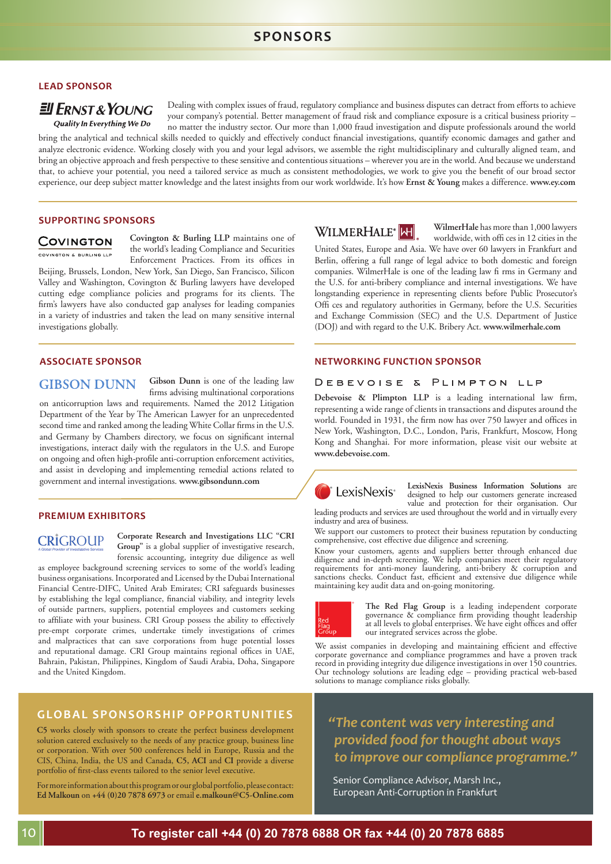### **SPONSORS**

#### **LEAD SPONSOR**

#### $E$  ERNST & YOUNG **Quality In Everything We Do**

Dealing with complex issues of fraud, regulatory compliance and business disputes can detract from efforts to achieve your company's potential. Better management of fraud risk and compliance exposure is a critical business priority – no matter the industry sector. Our more than 1,000 fraud investigation and dispute professionals around the world

bring the analytical and technical skills needed to quickly and effectively conduct financial investigations, quantify economic damages and gather and analyze electronic evidence. Working closely with you and your legal advisors, we assemble the right multidisciplinary and culturally aligned team, and bring an objective approach and fresh perspective to these sensitive and contentious situations – wherever you are in the world. And because we understand that, to achieve your potential, you need a tailored service as much as consistent methodologies, we work to give you the benefit of our broad sector experience, our deep subject matter knowledge and the latest insights from our work worldwide. It's how **Ernst & Young** makes a difference. **www.ey.com**

#### **SUPPORTING SPONSORS**

#### **COVINGTON**

COVINGTON & BURLING LLF

**Covington & Burling LLP** maintains one of the world's leading Compliance and Securities Enforcement Practices. From its offices in Beijing, Brussels, London, New York, San Diego, San Francisco, Silicon

Valley and Washington, Covington & Burling lawyers have developed cutting edge compliance policies and programs for its clients. The firm's lawyers have also conducted gap analyses for leading companies in a variety of industries and taken the lead on many sensitive internal investigations globally.

### **GIBSON DUNN**

**Gibson Dunn** is one of the leading law firms advising multinational corporations

on anticorruption laws and requirements. Named the 2012 Litigation Department of the Year by The American Lawyer for an unprecedented second time and ranked among the leading White Collar firms in the U.S. and Germany by Chambers directory, we focus on significant internal investigations, interact daily with the regulators in the U.S. and Europe on ongoing and often high-profile anti-corruption enforcement activities, and assist in developing and implementing remedial actions related to government and internal investigations. www.gibsondunn.com<br> **LexisNexis** LexisNexis Business Information Solutions are and the political interest increased

#### **PREMIUM EXHIBITORS**

### **CRIGROUP**

**Corporate Research and Investigations LLC "CRI Group"** is a global supplier of investigative research, forensic accounting, integrity due diligence as well

as employee background screening services to some of the world's leading business organisations. Incorporated and Licensed by the Dubai International Financial Centre-DIFC, United Arab Emirates; CRI safeguards businesses by establishing the legal compliance, financial viability, and integrity levels of outside partners, suppliers, potential employees and customers seeking to affiliate with your business. CRI Group possess the ability to effectively pre-empt corporate crimes, undertake timely investigations of crimes and malpractices that can save corporations from huge potential losses and reputational damage. CRI Group maintains regional offices in UAE, Bahrain, Pakistan, Philippines, Kingdom of Saudi Arabia, Doha, Singapore and the United Kingdom.

### **GLOBAL SPONSORSHIP OPPORTUNITIES**

**C5** works closely with sponsors to create the perfect business development solution catered exclusively to the needs of any practice group, business line or corporation. With over 500 conferences held in Europe, Russia and the CIS, China, India, the US and Canada, **C5, ACI** and **CI** provide a diverse portfolio of first-class events tailored to the senior level executive.

For more information about this program or our global portfolio, please contact: **Ed Malkoun** on **+44 (0)20 7878 6973** or email **e.malkoun@C5-Online.com**



**WilmerHale** has more than 1,000 lawyers worldwide, with offi ces in 12 cities in the

United States, Europe and Asia. We have over 60 lawyers in Frankfurt and Berlin, offering a full range of legal advice to both domestic and foreign companies. WilmerHale is one of the leading law fi rms in Germany and the U.S. for anti-bribery compliance and internal investigations. We have longstanding experience in representing clients before Public Prosecutor's Offi ces and regulatory authorities in Germany, before the U.S. Securities and Exchange Commission (SEC) and the U.S. Department of Justice (DOJ) and with regard to the U.K. Bribery Act. **www.wilmerhale.com**

#### **ASSOCIATE SPONSOR NETWORKING FUNCTION SPONSOR**

#### DEBEVOISE & PLIMPTON LLP

Debevoise & Plimpton LLP is a leading international law firm, representing a wide range of clients in transactions and disputes around the world. Founded in 1931, the firm now has over 750 lawyer and offices in New York, Washington, D.C., London, Paris, Frankfurt, Moscow, Hong Kong and Shanghai. For more information, please visit our website at **www.debevoise.com**.



designed to help our customers generate increased value and protection for their organisation. Our leading products and services are used throughout the world and in virtually every

industry and area of business. We support our customers to protect their business reputation by conducting

comprehensive, cost effective due diligence and screening.

Know your customers, agents and suppliers better through enhanced due diligence and in-depth screening. We help companies meet their regulatory requirements for anti-money laundering, anti-bribery & corruption and sanctions checks. Conduct fast, efficient and extensive due diligence while maintaining key audit data and on-going monitoring.



**The Red Flag Group** is a leading independent corporate governance & compliance firm providing thought leadership at all levels to global enterprises. We have eight offices and offer our integrated services across the globe.

We assist companies in developing and maintaining efficient and effective corporate governance and compliance programmes and have a proven track record in providing integrity due diligence investigations in over 150 countries. Our technology solutions are leading edge – providing practical web-based solutions to manage compliance risks globally.

*"The content was very interesting and provided food for thought about ways to improve our compliance programme."* 

Senior Compliance Advisor, Marsh Inc., European Anti-Corruption in Frankfurt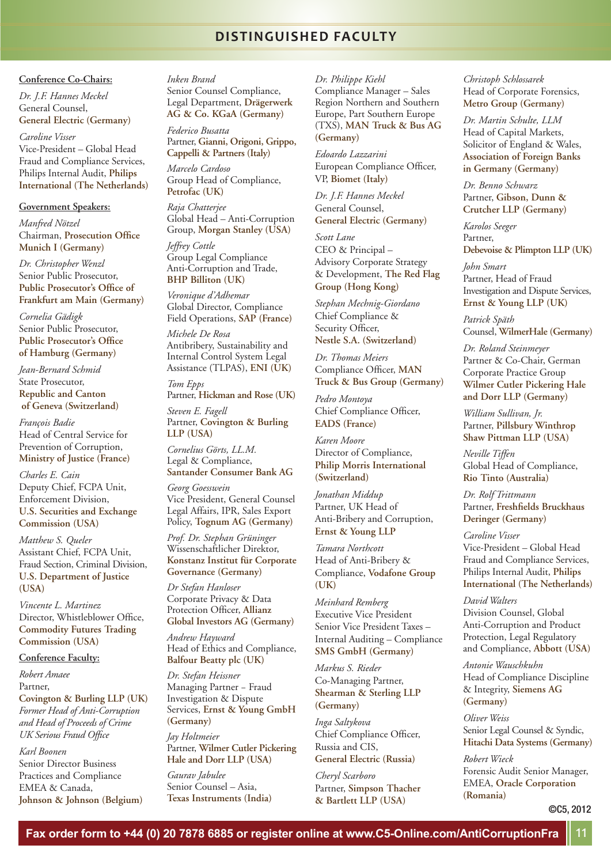### **DISTINGUISHED FACULTY**

#### **Conference Co-Chairs:**

*Dr. J.F. Hannes Meckel* General Counsel, **General Electric (Germany)** 

*Caroline Visser* Vice-President – Global Head Fraud and Compliance Services, Philips Internal Audit, **Philips International (The Netherlands)**

#### **Government Speakers:**

*Manfred Nötzel* **Chairman, Prosecution Office Munich I (Germany)**

*Dr. Christopher Wenzl* Senior Public Prosecutor, **Public Prosecutor's Office of Frankfurt am Main (Germany)**

*Cornelia Gädigk* Senior Public Prosecutor, **Public Prosecutor's Office of Hamburg (Germany)**

*Jean-Bernard Schmid* State Prosecutor, **Republic and Canton of Geneva (Switzerland)**

*François Badie* Head of Central Service for Prevention of Corruption, **Ministry of Justice (France)**

*Charles E. Cain* Deputy Chief, FCPA Unit, Enforcement Division, **U.S. Securities and Exchange Commission (USA)**

*Matthew S. Queler* Assistant Chief, FCPA Unit, Fraud Section, Criminal Division, **U.S. Department of Justice (USA)**

*Vincente L. Martinez* Director, Whistleblower Office, **Commodity Futures Trading Commission (USA)**

#### **Conference Faculty:**

*Robert Amaee* Partner, **Covington & Burling LLP (UK)** *Former Head of Anti-Corruption and Head of Proceeds of Crime UK Serious Fraud Office* 

*Karl Boonen* Senior Director Business Practices and Compliance EMEA & Canada, **Johnson & Johnson (Belgium)**  *Inken Brand*  Senior Counsel Compliance,

Legal Department, **Drägerwerk AG & Co. KGaA (Germany)** *Federico Busatta*

Partner, **Gianni, Origoni, Grippo, Cappelli & Partners (Italy)** 

*Marcelo Cardoso* Group Head of Compliance, **Petrofac (UK)** 

*Raja Chatterjee* Global Head – Anti-Corruption Group, **Morgan Stanley (USA)**

*Jeffrey Cottle* Group Legal Compliance Anti-Corruption and Trade, **BHP Billiton (UK)** 

*Veronique d'Adhemar* Global Director, Compliance Field Operations, **SAP (France)**

*Michele De Rosa* Antibribery, Sustainability and Internal Control System Legal Assistance (TLPAS), **ENI (UK)**

*Tom Epps* Partner, **Hickman and Rose (UK)** 

*Steven E. Fagell*  Partner, **Covington & Burling LLP (USA)**

*Cornelius Görts, LL.M.* Legal & Compliance, **Santander Consumer Bank AG**

*Georg Goesswein* Vice President, General Counsel Legal Affairs, IPR, Sales Export Policy, **Tognum AG (Germany)**

*Prof. Dr. Stephan Grüninger* Wissenschaftlicher Direktor, **Konstanz Institut für Corporate Governance (Germany)**

*Dr Stefan Hanloser* Corporate Privacy & Data Protection Officer, Allianz **Global Investors AG (Germany)**

*Andrew Hayward* Head of Ethics and Compliance, **Balfour Beatty plc (UK)** 

*Dr. Stefan Heissner* Managing Partner − Fraud Investigation & Dispute Services, **Ernst & Young GmbH (Germany)** 

*Jay Holtmeier* Partner, **Wilmer Cutler Pickering Hale and Dorr LLP (USA)**

*Gaurav Jabulee*  Senior Counsel – Asia, **Texas Instruments (India)**  *Dr. Philippe Kiehl*  Compliance Manager – Sales Region Northern and Southern Europe, Part Southern Europe (TXS), **MAN Truck & Bus AG (Germany)**

*Edoardo Lazzarini* European Compliance Officer, VP, **Biomet (Italy)**

*Dr. J.F. Hannes Meckel* General Counsel, **General Electric (Germany)**

*Scott Lane* CEO & Principal – Advisory Corporate Strategy & Development, **The Red Flag Group (Hong Kong)** 

*Stephan Mechnig-Giordano* Chief Compliance & Security Officer, **Nestle S.A. (Switzerland)**

*Dr. Thomas Meiers* Compliance Officer, MAN **Truck & Bus Group (Germany)**

*Pedro Montoya*  Chief Compliance Officer, **EADS (France)** 

*Karen Moore* Director of Compliance, **Philip Morris International (Switzerland)**

*Jonathan Middup* Partner, UK Head of Anti-Bribery and Corruption, **Ernst & Young LLP**

*Tamara Northcott* Head of Anti-Bribery & Compliance, **Vodafone Group (UK)**

*Meinhard Remberg* Executive Vice President Senior Vice President Taxes – Internal Auditing – Compliance **SMS GmbH (Germany)**

*Markus S. Rieder*  Co-Managing Partner, **Shearman & Sterling LLP (Germany)** 

*Inga Saltykova* Chief Compliance Officer, Russia and CIS, **General Electric (Russia)**

*Cheryl Scarboro* Partner, **Simpson Thacher & Bartlett LLP (USA)**

*Christoph Schlossarek* Head of Corporate Forensics, **Metro Group (Germany)**

*Dr. Martin Schulte, LLM* Head of Capital Markets, Solicitor of England & Wales, **Association of Foreign Banks in Germany (Germany)**

*Dr. Benno Schwarz* Partner, **Gibson, Dunn & Crutcher LLP (Germany)**

*Karolos Seeger*  Partner, **Debevoise & Plimpton LLP (UK)**

*John Smart* Partner, Head of Fraud Investigation and Dispute Services, **Ernst & Young LLP (UK)** 

*Patrick Späth* Counsel, **WilmerHale (Germany)**

*Dr. Roland Steinmeyer* Partner & Co-Chair, German Corporate Practice Group **Wilmer Cutler Pickering Hale and Dorr LLP (Germany)**

*William Sullivan, Jr.*  Partner, **Pillsbury Winthrop Shaw Pittman LLP (USA)**

*Neville Tiffen* Global Head of Compliance, **Rio Tinto (Australia)**

*Dr. Rolf Trittmann* Partner, Freshfields Bruckhaus **Deringer (Germany)**

*Caroline Visser* Vice-President – Global Head Fraud and Compliance Services, Philips Internal Audit, **Philips International (The Netherlands)**

*David Walters* Division Counsel, Global Anti-Corruption and Product Protection, Legal Regulatory and Compliance, **Abbott (USA)**

*Antonie Wauschkuhn* Head of Compliance Discipline & Integrity, **Siemens AG (Germany)**

*Oliver Weiss* Senior Legal Counsel & Syndic, **Hitachi Data Systems (Germany)**

*Robert Wieck* Forensic Audit Senior Manager, EMEA, **Oracle Corporation (Romania)**

©C5, 2012